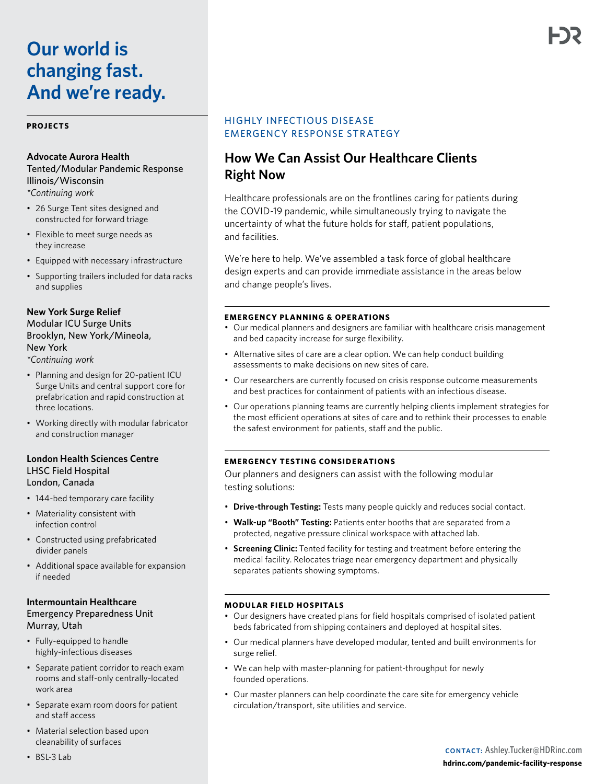# **Our world is changing fast. And we're ready.**

#### **PROJECTS**

#### **Advocate Aurora Health**

Tented/Modular Pandemic Response Illinois/Wisconsin *\*Continuing work* 

- 26 Surge Tent sites designed and constructed for forward triage
- Flexible to meet surge needs as they increase
- Equipped with necessary infrastructure
- Supporting trailers included for data racks and supplies

# **New York Surge Relief** Modular ICU Surge Units Brooklyn, New York/Mineola, New York

*\*Continuing work* 

- Planning and design for 20-patient ICU Surge Units and central support core for prefabrication and rapid construction at three locations.
- Working directly with modular fabricator and construction manager

### **London Health Sciences Centre** LHSC Field Hospital London, Canada

- 144-bed temporary care facility
- Materiality consistent with infection control
- Constructed using prefabricated divider panels
- Additional space available for expansion if needed

## **Intermountain Healthcare** Emergency Preparedness Unit Murray, Utah

- Fully-equipped to handle highly-infectious diseases
- Separate patient corridor to reach exam rooms and staff-only centrally-located work area
- Separate exam room doors for patient and staff access
- Material selection based upon cleanability of surfaces

# HIGHLY INFECTIOUS DISEASE EMERGENCY RESPONSE STR ATEGY

# **How We Can Assist Our Healthcare Clients Right Now**

Healthcare professionals are on the frontlines caring for patients during the COVID-19 pandemic, while simultaneously trying to navigate the uncertainty of what the future holds for staff, patient populations, and facilities.

We're here to help. We've assembled a task force of global healthcare design experts and can provide immediate assistance in the areas below and change people's lives.

#### **EMERGENCY PLANNING & OPERATIONS**

- Our medical planners and designers are familiar with healthcare crisis management and bed capacity increase for surge flexibility.
- Alternative sites of care are a clear option. We can help conduct building assessments to make decisions on new sites of care.
- Our researchers are currently focused on crisis response outcome measurements and best practices for containment of patients with an infectious disease.
- Our operations planning teams are currently helping clients implement strategies for the most efficient operations at sites of care and to rethink their processes to enable the safest environment for patients, staff and the public.

#### **EMERGENCY TESTING CONSIDERATIONS**

Our planners and designers can assist with the following modular testing solutions:

- **Drive-through Testing:** Tests many people quickly and reduces social contact.
- **Walk-up "Booth" Testing:** Patients enter booths that are separated from a protected, negative pressure clinical workspace with attached lab.
- **Screening Clinic:** Tented facility for testing and treatment before entering the medical facility. Relocates triage near emergency department and physically separates patients showing symptoms.

#### **MODULAR FIELD HOSPITALS**

- Our designers have created plans for field hospitals comprised of isolated patient beds fabricated from shipping containers and deployed at hospital sites.
- Our medical planners have developed modular, tented and built environments for surge relief.
- We can help with master-planning for patient-throughput for newly founded operations.
- Our master planners can help coordinate the care site for emergency vehicle circulation/transport, site utilities and service.